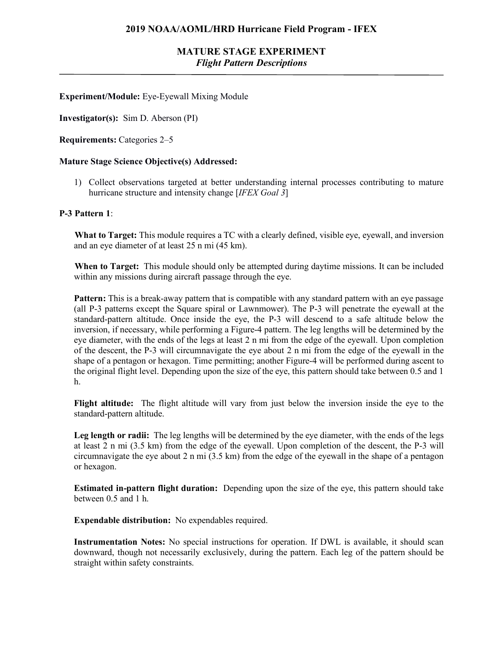# **MATURE STAGE EXPERIMENT** *Flight Pattern Descriptions*

**Experiment/Module:** Eye-Eyewall Mixing Module

**Investigator(s):** Sim D. Aberson (PI)

**Requirements:** Categories 2–5

#### **Mature Stage Science Objective(s) Addressed:**

1) Collect observations targeted at better understanding internal processes contributing to mature hurricane structure and intensity change [*IFEX Goal 3*]

### **P-3 Pattern 1**:

**What to Target:** This module requires a TC with a clearly defined, visible eye, eyewall, and inversion and an eye diameter of at least 25 n mi (45 km).

**When to Target:** This module should only be attempted during daytime missions. It can be included within any missions during aircraft passage through the eye.

**Pattern:** This is a break-away pattern that is compatible with any standard pattern with an eye passage (all P-3 patterns except the Square spiral or Lawnmower). The P-3 will penetrate the eyewall at the standard-pattern altitude. Once inside the eye, the P-3 will descend to a safe altitude below the inversion, if necessary, while performing a Figure-4 pattern. The leg lengths will be determined by the eye diameter, with the ends of the legs at least 2 n mi from the edge of the eyewall. Upon completion of the descent, the P-3 will circumnavigate the eye about 2 n mi from the edge of the eyewall in the shape of a pentagon or hexagon. Time permitting; another Figure-4 will be performed during ascent to the original flight level. Depending upon the size of the eye, this pattern should take between 0.5 and 1 h.

**Flight altitude:** The flight altitude will vary from just below the inversion inside the eye to the standard-pattern altitude.

Leg length or radii: The leg lengths will be determined by the eye diameter, with the ends of the legs at least 2 n mi (3.5 km) from the edge of the eyewall. Upon completion of the descent, the P-3 will circumnavigate the eye about 2 n mi (3.5 km) from the edge of the eyewall in the shape of a pentagon or hexagon.

**Estimated in-pattern flight duration:** Depending upon the size of the eye, this pattern should take between 0.5 and 1 h.

**Expendable distribution:** No expendables required.

**Instrumentation Notes:** No special instructions for operation. If DWL is available, it should scan downward, though not necessarily exclusively, during the pattern. Each leg of the pattern should be straight within safety constraints.